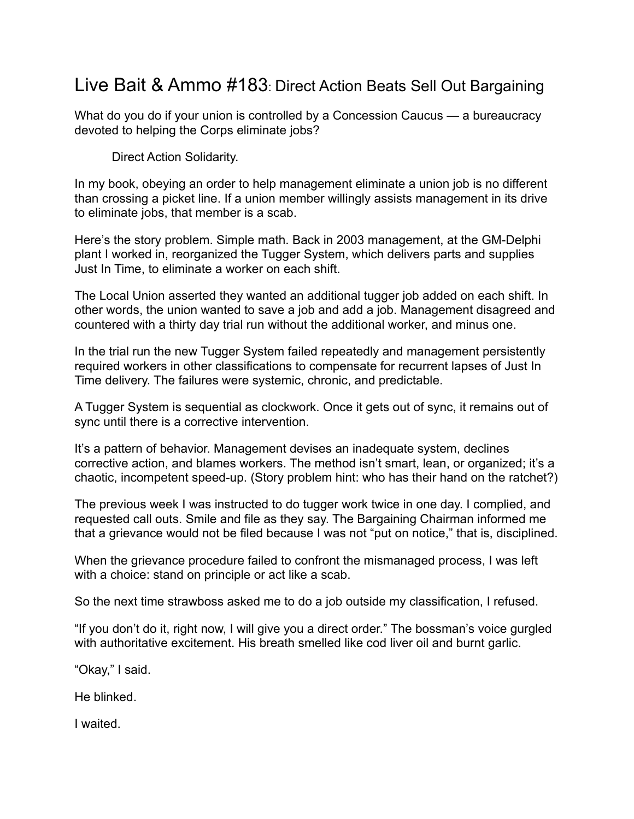## Live Bait & Ammo #183: Direct Action Beats Sell Out Bargaining

What do you do if your union is controlled by a Concession Caucus — a bureaucracy devoted to helping the Corps eliminate jobs?

Direct Action Solidarity.

In my book, obeying an order to help management eliminate a union job is no different than crossing a picket line. If a union member willingly assists management in its drive to eliminate jobs, that member is a scab.

Here's the story problem. Simple math. Back in 2003 management, at the GM-Delphi plant I worked in, reorganized the Tugger System, which delivers parts and supplies Just In Time, to eliminate a worker on each shift.

The Local Union asserted they wanted an additional tugger job added on each shift. In other words, the union wanted to save a job and add a job. Management disagreed and countered with a thirty day trial run without the additional worker, and minus one.

In the trial run the new Tugger System failed repeatedly and management persistently required workers in other classifications to compensate for recurrent lapses of Just In Time delivery. The failures were systemic, chronic, and predictable.

A Tugger System is sequential as clockwork. Once it gets out of sync, it remains out of sync until there is a corrective intervention.

It's a pattern of behavior. Management devises an inadequate system, declines corrective action, and blames workers. The method isn't smart, lean, or organized; it's a chaotic, incompetent speed-up. (Story problem hint: who has their hand on the ratchet?)

The previous week I was instructed to do tugger work twice in one day. I complied, and requested call outs. Smile and file as they say. The Bargaining Chairman informed me that a grievance would not be filed because I was not "put on notice," that is, disciplined.

When the grievance procedure failed to confront the mismanaged process, I was left with a choice: stand on principle or act like a scab.

So the next time strawboss asked me to do a job outside my classification, I refused.

"If you don't do it, right now, I will give you a direct order." The bossman's voice gurgled with authoritative excitement. His breath smelled like cod liver oil and burnt garlic.

"Okay," I said.

He blinked.

I waited.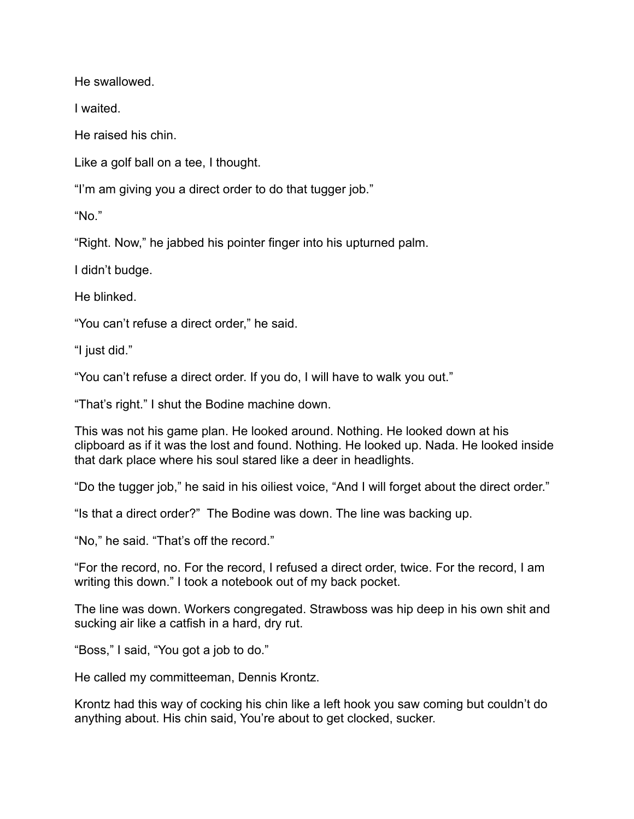He swallowed.

I waited.

He raised his chin.

Like a golf ball on a tee, I thought.

"I'm am giving you a direct order to do that tugger job."

"No."

"Right. Now," he jabbed his pointer finger into his upturned palm.

I didn't budge.

He blinked.

"You can't refuse a direct order," he said.

"I just did."

"You can't refuse a direct order. If you do, I will have to walk you out."

"That's right." I shut the Bodine machine down.

This was not his game plan. He looked around. Nothing. He looked down at his clipboard as if it was the lost and found. Nothing. He looked up. Nada. He looked inside that dark place where his soul stared like a deer in headlights.

"Do the tugger job," he said in his oiliest voice, "And I will forget about the direct order."

"Is that a direct order?" The Bodine was down. The line was backing up.

"No," he said. "That's off the record."

"For the record, no. For the record, I refused a direct order, twice. For the record, I am writing this down." I took a notebook out of my back pocket.

The line was down. Workers congregated. Strawboss was hip deep in his own shit and sucking air like a catfish in a hard, dry rut.

"Boss," I said, "You got a job to do."

He called my committeeman, Dennis Krontz.

Krontz had this way of cocking his chin like a left hook you saw coming but couldn't do anything about. His chin said, You're about to get clocked, sucker.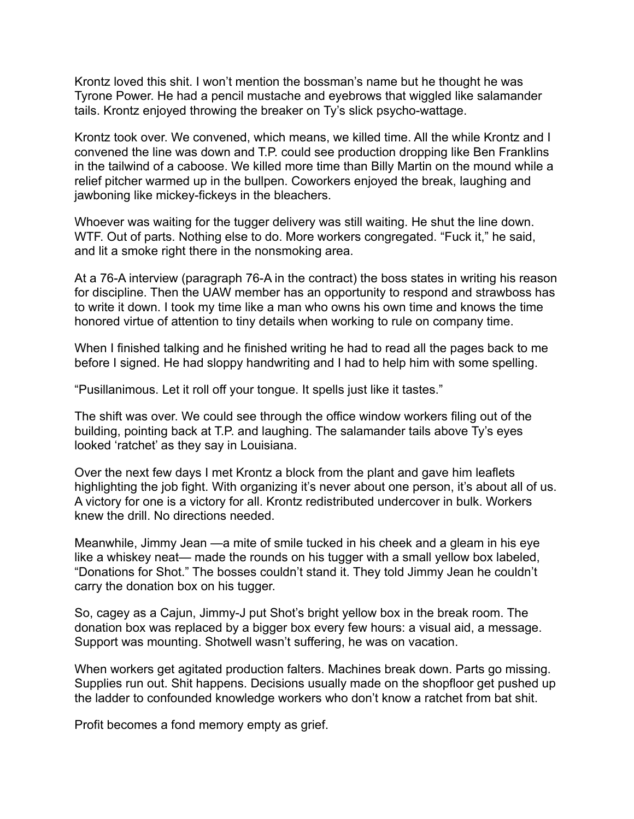Krontz loved this shit. I won't mention the bossman's name but he thought he was Tyrone Power. He had a pencil mustache and eyebrows that wiggled like salamander tails. Krontz enjoyed throwing the breaker on Ty's slick psycho-wattage.

Krontz took over. We convened, which means, we killed time. All the while Krontz and I convened the line was down and T.P. could see production dropping like Ben Franklins in the tailwind of a caboose. We killed more time than Billy Martin on the mound while a relief pitcher warmed up in the bullpen. Coworkers enjoyed the break, laughing and jawboning like mickey-fickeys in the bleachers.

Whoever was waiting for the tugger delivery was still waiting. He shut the line down. WTF. Out of parts. Nothing else to do. More workers congregated. "Fuck it," he said, and lit a smoke right there in the nonsmoking area.

At a 76-A interview (paragraph 76-A in the contract) the boss states in writing his reason for discipline. Then the UAW member has an opportunity to respond and strawboss has to write it down. I took my time like a man who owns his own time and knows the time honored virtue of attention to tiny details when working to rule on company time.

When I finished talking and he finished writing he had to read all the pages back to me before I signed. He had sloppy handwriting and I had to help him with some spelling.

"Pusillanimous. Let it roll off your tongue. It spells just like it tastes."

The shift was over. We could see through the office window workers filing out of the building, pointing back at T.P. and laughing. The salamander tails above Ty's eyes looked 'ratchet' as they say in Louisiana.

Over the next few days I met Krontz a block from the plant and gave him leaflets highlighting the job fight. With organizing it's never about one person, it's about all of us. A victory for one is a victory for all. Krontz redistributed undercover in bulk. Workers knew the drill. No directions needed.

Meanwhile, Jimmy Jean —a mite of smile tucked in his cheek and a gleam in his eye like a whiskey neat— made the rounds on his tugger with a small yellow box labeled, "Donations for Shot." The bosses couldn't stand it. They told Jimmy Jean he couldn't carry the donation box on his tugger.

So, cagey as a Cajun, Jimmy-J put Shot's bright yellow box in the break room. The donation box was replaced by a bigger box every few hours: a visual aid, a message. Support was mounting. Shotwell wasn't suffering, he was on vacation.

When workers get agitated production falters. Machines break down. Parts go missing. Supplies run out. Shit happens. Decisions usually made on the shopfloor get pushed up the ladder to confounded knowledge workers who don't know a ratchet from bat shit.

Profit becomes a fond memory empty as grief.